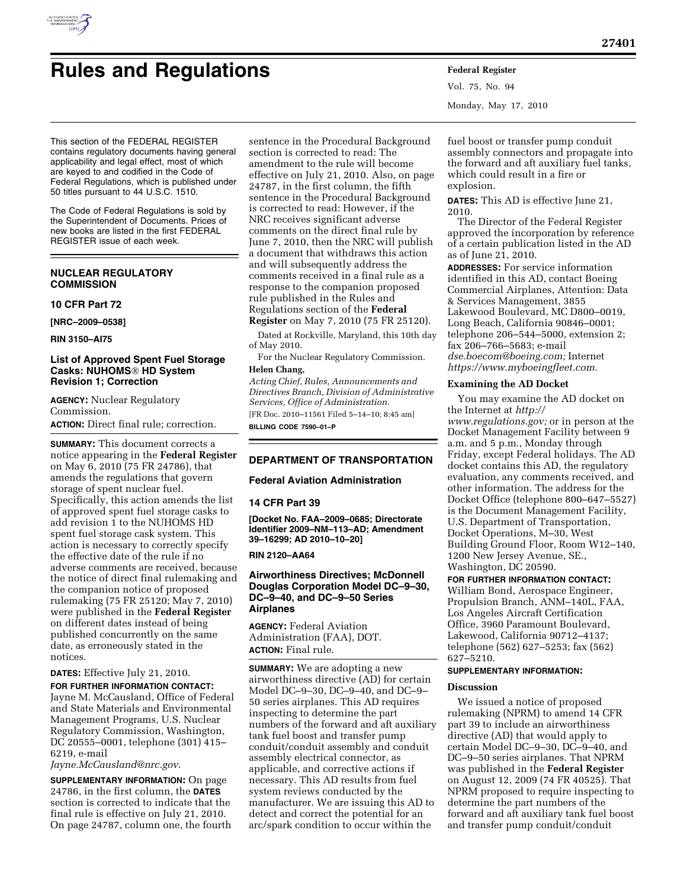

# **Rules and Regulations Federal Register**

Vol. 75, No. 94 Monday, May 17, 2010

This section of the FEDERAL REGISTER contains regulatory documents having general applicability and legal effect, most of which are keyed to and codified in the Code of Federal Regulations, which is published under 50 titles pursuant to 44 U.S.C. 1510.

The Code of Federal Regulations is sold by the Superintendent of Documents. Prices of new books are listed in the first FEDERAL REGISTER issue of each week.

# **NUCLEAR REGULATORY COMMISSION**

#### **10 CFR Part 72**

**[NRC–2009–0538]** 

**RIN 3150–AI75** 

## **List of Approved Spent Fuel Storage Casks: NUHOMS**® **HD System Revision 1; Correction**

**AGENCY:** Nuclear Regulatory Commission.

**ACTION:** Direct final rule; correction.

**SUMMARY:** This document corrects a notice appearing in the **Federal Register**  on May 6, 2010 (75 FR 24786), that amends the regulations that govern storage of spent nuclear fuel. Specifically, this action amends the list of approved spent fuel storage casks to add revision 1 to the NUHOMS HD spent fuel storage cask system. This action is necessary to correctly specify the effective date of the rule if no adverse comments are received, because the notice of direct final rulemaking and the companion notice of proposed rulemaking (75 FR 25120; May 7, 2010) were published in the **Federal Register**  on different dates instead of being published concurrently on the same date, as erroneously stated in the notices.

## **DATES:** Effective July 21, 2010.

**FOR FURTHER INFORMATION CONTACT:**  Jayne M. McCausland, Office of Federal and State Materials and Environmental Management Programs, U.S. Nuclear Regulatory Commission, Washington, DC 20555–0001, telephone (301) 415– 6219, e-mail

*Jayne.McCausland@nrc.gov.* 

**SUPPLEMENTARY INFORMATION:** On page 24786, in the first column, the **DATES** section is corrected to indicate that the final rule is effective on July 21, 2010. On page 24787, column one, the fourth

sentence in the Procedural Background section is corrected to read: The amendment to the rule will become effective on July 21, 2010. Also, on page 24787, in the first column, the fifth sentence in the Procedural Background is corrected to read: However, if the NRC receives significant adverse comments on the direct final rule by June 7, 2010, then the NRC will publish a document that withdraws this action and will subsequently address the comments received in a final rule as a response to the companion proposed rule published in the Rules and Regulations section of the **Federal Register** on May 7, 2010 (75 FR 25120).

Dated at Rockville, Maryland, this 10th day of May 2010.

For the Nuclear Regulatory Commission. **Helen Chang,** 

*Acting Chief, Rules, Announcements and Directives Branch, Division of Administrative Services, Office of Administration.*  [FR Doc. 2010–11561 Filed 5–14–10; 8:45 am] **BILLING CODE 7590–01–P** 

# **DEPARTMENT OF TRANSPORTATION**

#### **Federal Aviation Administration**

#### **14 CFR Part 39**

**[Docket No. FAA–2009–0685; Directorate Identifier 2009–NM–113–AD; Amendment 39–16299; AD 2010–10–20]** 

#### **RIN 2120–AA64**

## **Airworthiness Directives; McDonnell Douglas Corporation Model DC–9–30, DC–9–40, and DC–9–50 Series Airplanes**

**AGENCY:** Federal Aviation Administration (FAA), DOT. **ACTION:** Final rule.

**SUMMARY:** We are adopting a new airworthiness directive (AD) for certain Model DC–9–30, DC–9–40, and DC–9– 50 series airplanes. This AD requires inspecting to determine the part numbers of the forward and aft auxiliary tank fuel boost and transfer pump conduit/conduit assembly and conduit assembly electrical connector, as applicable, and corrective actions if necessary. This AD results from fuel system reviews conducted by the manufacturer. We are issuing this AD to detect and correct the potential for an arc/spark condition to occur within the

fuel boost or transfer pump conduit assembly connectors and propagate into the forward and aft auxiliary fuel tanks, which could result in a fire or explosion.

**DATES:** This AD is effective June 21, 2010.

The Director of the Federal Register approved the incorporation by reference of a certain publication listed in the AD as of June 21, 2010.

**ADDRESSES:** For service information identified in this AD, contact Boeing Commercial Airplanes, Attention: Data & Services Management, 3855 Lakewood Boulevard, MC D800–0019, Long Beach, California 90846–0001; telephone 206–544–5000, extension 2; fax 206–766–5683; e-mail *dse.boecom@boeing.com;* Internet *https://www.myboeingfleet.com.* 

#### **Examining the AD Docket**

You may examine the AD docket on the Internet at *http:// www.regulations.gov;* or in person at the Docket Management Facility between 9 a.m. and 5 p.m., Monday through Friday, except Federal holidays. The AD docket contains this AD, the regulatory evaluation, any comments received, and other information. The address for the Docket Office (telephone 800–647–5527) is the Document Management Facility, U.S. Department of Transportation, Docket Operations, M–30, West Building Ground Floor, Room W12–140, 1200 New Jersey Avenue, SE., Washington, DC 20590.

#### **FOR FURTHER INFORMATION CONTACT:**

William Bond, Aerospace Engineer, Propulsion Branch, ANM–140L, FAA, Los Angeles Aircraft Certification Office, 3960 Paramount Boulevard, Lakewood, California 90712–4137; telephone (562) 627–5253; fax (562) 627–5210.

# **SUPPLEMENTARY INFORMATION:**

#### **Discussion**

We issued a notice of proposed rulemaking (NPRM) to amend 14 CFR part 39 to include an airworthiness directive (AD) that would apply to certain Model DC–9–30, DC–9–40, and DC–9–50 series airplanes. That NPRM was published in the **Federal Register**  on August 12, 2009 (74 FR 40525). That NPRM proposed to require inspecting to determine the part numbers of the forward and aft auxiliary tank fuel boost and transfer pump conduit/conduit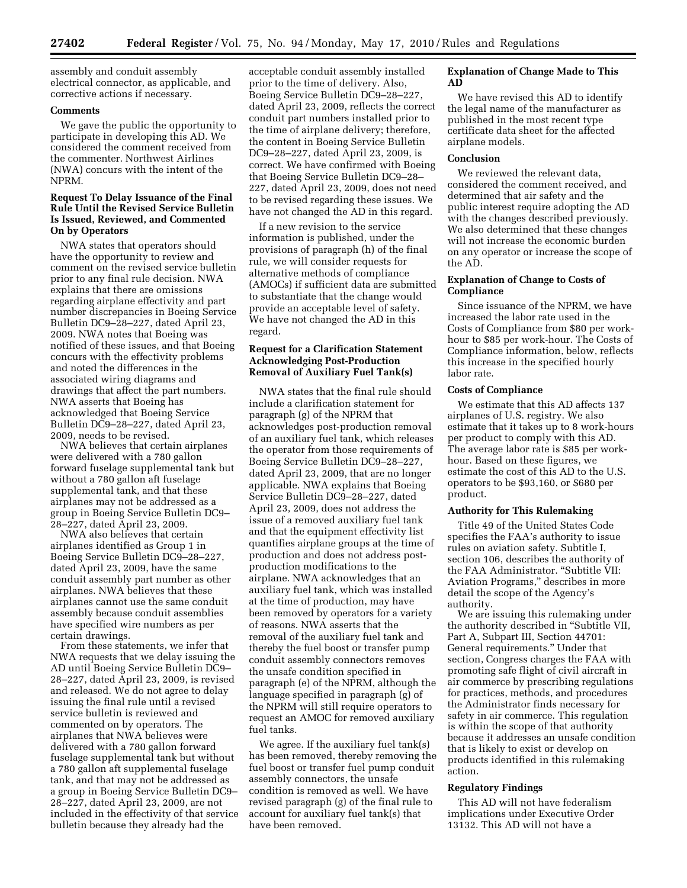assembly and conduit assembly electrical connector, as applicable, and corrective actions if necessary.

## **Comments**

We gave the public the opportunity to participate in developing this AD. We considered the comment received from the commenter. Northwest Airlines (NWA) concurs with the intent of the NPRM.

## **Request To Delay Issuance of the Final Rule Until the Revised Service Bulletin Is Issued, Reviewed, and Commented On by Operators**

NWA states that operators should have the opportunity to review and comment on the revised service bulletin prior to any final rule decision. NWA explains that there are omissions regarding airplane effectivity and part number discrepancies in Boeing Service Bulletin DC9–28–227, dated April 23, 2009. NWA notes that Boeing was notified of these issues, and that Boeing concurs with the effectivity problems and noted the differences in the associated wiring diagrams and drawings that affect the part numbers. NWA asserts that Boeing has acknowledged that Boeing Service Bulletin DC9–28–227, dated April 23, 2009, needs to be revised.

NWA believes that certain airplanes were delivered with a 780 gallon forward fuselage supplemental tank but without a 780 gallon aft fuselage supplemental tank, and that these airplanes may not be addressed as a group in Boeing Service Bulletin DC9– 28–227, dated April 23, 2009.

NWA also believes that certain airplanes identified as Group 1 in Boeing Service Bulletin DC9–28–227, dated April 23, 2009, have the same conduit assembly part number as other airplanes. NWA believes that these airplanes cannot use the same conduit assembly because conduit assemblies have specified wire numbers as per certain drawings.

From these statements, we infer that NWA requests that we delay issuing the AD until Boeing Service Bulletin DC9– 28–227, dated April 23, 2009, is revised and released. We do not agree to delay issuing the final rule until a revised service bulletin is reviewed and commented on by operators. The airplanes that NWA believes were delivered with a 780 gallon forward fuselage supplemental tank but without a 780 gallon aft supplemental fuselage tank, and that may not be addressed as a group in Boeing Service Bulletin DC9– 28–227, dated April 23, 2009, are not included in the effectivity of that service bulletin because they already had the

acceptable conduit assembly installed prior to the time of delivery. Also, Boeing Service Bulletin DC9–28–227, dated April 23, 2009, reflects the correct conduit part numbers installed prior to the time of airplane delivery; therefore, the content in Boeing Service Bulletin DC9–28–227, dated April 23, 2009, is correct. We have confirmed with Boeing that Boeing Service Bulletin DC9–28– 227, dated April 23, 2009, does not need to be revised regarding these issues. We have not changed the AD in this regard.

If a new revision to the service information is published, under the provisions of paragraph (h) of the final rule, we will consider requests for alternative methods of compliance (AMOCs) if sufficient data are submitted to substantiate that the change would provide an acceptable level of safety. We have not changed the AD in this regard.

# **Request for a Clarification Statement Acknowledging Post-Production Removal of Auxiliary Fuel Tank(s)**

NWA states that the final rule should include a clarification statement for paragraph (g) of the NPRM that acknowledges post-production removal of an auxiliary fuel tank, which releases the operator from those requirements of Boeing Service Bulletin DC9–28–227, dated April 23, 2009, that are no longer applicable. NWA explains that Boeing Service Bulletin DC9–28–227, dated April 23, 2009, does not address the issue of a removed auxiliary fuel tank and that the equipment effectivity list quantifies airplane groups at the time of production and does not address postproduction modifications to the airplane. NWA acknowledges that an auxiliary fuel tank, which was installed at the time of production, may have been removed by operators for a variety of reasons. NWA asserts that the removal of the auxiliary fuel tank and thereby the fuel boost or transfer pump conduit assembly connectors removes the unsafe condition specified in paragraph (e) of the NPRM, although the language specified in paragraph (g) of the NPRM will still require operators to request an AMOC for removed auxiliary fuel tanks.

We agree. If the auxiliary fuel tank(s) has been removed, thereby removing the fuel boost or transfer fuel pump conduit assembly connectors, the unsafe condition is removed as well. We have revised paragraph (g) of the final rule to account for auxiliary fuel tank(s) that have been removed.

# **Explanation of Change Made to This AD**

We have revised this AD to identify the legal name of the manufacturer as published in the most recent type certificate data sheet for the affected airplane models.

## **Conclusion**

We reviewed the relevant data, considered the comment received, and determined that air safety and the public interest require adopting the AD with the changes described previously. We also determined that these changes will not increase the economic burden on any operator or increase the scope of the AD.

#### **Explanation of Change to Costs of Compliance**

Since issuance of the NPRM, we have increased the labor rate used in the Costs of Compliance from \$80 per workhour to \$85 per work-hour. The Costs of Compliance information, below, reflects this increase in the specified hourly labor rate.

## **Costs of Compliance**

We estimate that this AD affects 137 airplanes of U.S. registry. We also estimate that it takes up to 8 work-hours per product to comply with this AD. The average labor rate is \$85 per workhour. Based on these figures, we estimate the cost of this AD to the U.S. operators to be \$93,160, or \$680 per product.

## **Authority for This Rulemaking**

Title 49 of the United States Code specifies the FAA's authority to issue rules on aviation safety. Subtitle I, section 106, describes the authority of the FAA Administrator. ''Subtitle VII: Aviation Programs,'' describes in more detail the scope of the Agency's authority.

We are issuing this rulemaking under the authority described in ''Subtitle VII, Part A, Subpart III, Section 44701: General requirements.'' Under that section, Congress charges the FAA with promoting safe flight of civil aircraft in air commerce by prescribing regulations for practices, methods, and procedures the Administrator finds necessary for safety in air commerce. This regulation is within the scope of that authority because it addresses an unsafe condition that is likely to exist or develop on products identified in this rulemaking action.

## **Regulatory Findings**

This AD will not have federalism implications under Executive Order 13132. This AD will not have a